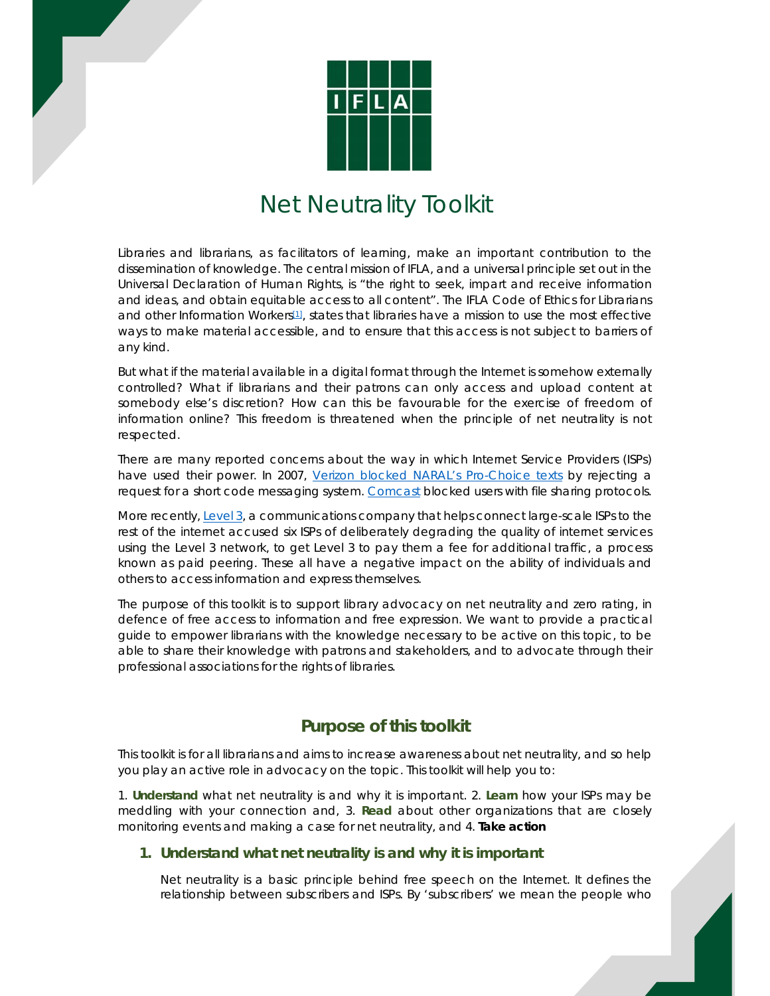

# Net Neutrality Toolkit

Libraries and librarians, as facilitators of learning, make an important contribution to the dissemination of knowledge. The central mission of IFLA, and a universal principle set out in the Universal Declaration of Human Rights, is "the right to seek, impart and receive information and ideas, and obtain equitable access to all content". The IFLA Code of Ethics for Librarians and other Information Workers<sup>[1]</sup>, states that libraries have a mission to use the most effective ways to make material accessible, and to ensure that this access is not subject to barriers of any kind.

But what if the material available in a digital format through the Internet is somehow externally controlled? What if librarians and their patrons can only access and upload content at somebody else's discretion? How can this be favourable for the exercise of freedom of information online? This freedom is threatened when the principle of net neutrality is not respected.

There are many reported concerns about the way in which Internet Service Providers (ISPs) have used their power. In 2007, Verizon blocked NARAL's Pro-Choice texts by rejecting a request for a short code messaging system. Comcast blocked users with file sharing protocols.

More recently, Level 3, a communications company that helps connect large-scale ISPs to the rest of the internet accused six ISPs of deliberately degrading the quality of internet services using the Level 3 network, to get Level 3 to pay them a fee for additional traffic, a process known as paid peering. These all have a negative impact on the ability of individuals and others to access information and express themselves.

The purpose of this toolkit is to support library advocacy on net neutrality and zero rating, in defence of free access to information and free expression. We want to provide a practical guide to empower librarians with the knowledge necessary to be active on this topic, to be able to share their knowledge with patrons and stakeholders, and to advocate through their professional associations for the rights of libraries.

## **Purpose of this toolkit**

This toolkit is for all librarians and aims to increase awareness about net neutrality, and so help you play an active role in advocacy on the topic. This toolkit will help you to:

1. **Understand** what net neutrality is and why it is important. 2. **Learn** how your ISPs may be meddling with your connection and, 3. **Read** about other organizations that are closely monitoring events and making a case for net neutrality, and 4. **Take action**

#### **1. Understand what net neutrality is and why it is important**

Net neutrality is a basic principle behind free speech on the Internet. It defines the relationship between subscribers and ISPs. By 'subscribers' we mean the people who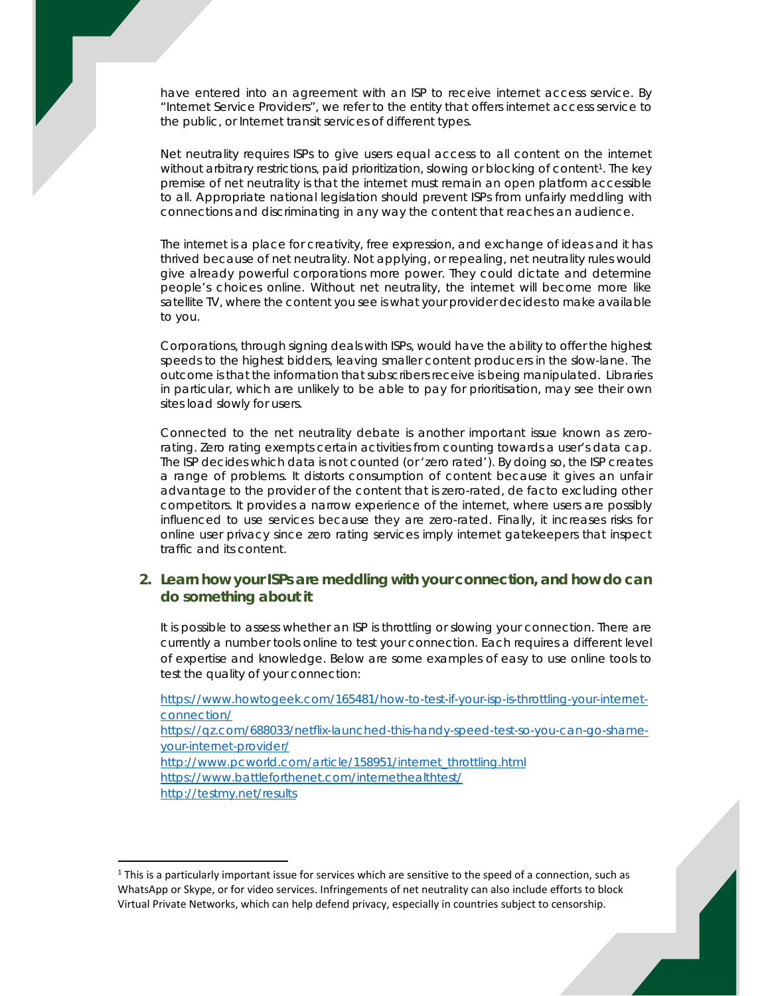have entered into an agreement with an ISP to receive internet access service. By "Internet Service Providers", we refer to the entity that offers internet access service to the public, or Internet transit services of different types.

Net neutrality requires ISPs to give users equal access to all content on the internet without arbitrary restrictions, paid prioritization, slowing or blocking of content<sup>1</sup>. The key premise of net neutrality is that the internet must remain an open platform accessible to all. Appropriate national legislation should prevent ISPs from unfairly meddling with connections and discriminating in any way the content that reaches an audience.

The internet is a place for creativity, free expression, and exchange of ideas and it has thrived because of net neutrality. Not applying, or repealing, net neutrality rules would give already powerful corporations more power. They could dictate and determine people's choices online. Without net neutrality, the internet will become more like satellite TV, where the content you see is what your provider decides to make available to you.

Corporations, through signing deals with ISPs, would have the ability to offer the highest speeds to the highest bidders, leaving smaller content producers in the slow-lane. The outcome is that the information that subscribers receive is being manipulated. Libraries in particular, which are unlikely to be able to pay for prioritisation, may see their own sites load slowly for users.

Connected to the net neutrality debate is another important issue known as zerorating. Zero rating exempts certain activities from counting towards a user's data cap. The ISP decides which data is not counted (or 'zero rated'). By doing so, the ISP creates a range of problems. It distorts consumption of content because it gives an unfair advantage to the provider of the content that is zero-rated, de facto excluding other competitors. It provides a narrow experience of the internet, where users are possibly influenced to use services because they are zero-rated. Finally, it increases risks for online user privacy since zero rating services imply internet gatekeepers that inspect traffic and its content.

#### **2. Learn how your ISPs are meddling with your connection, and how do can do something about it**

It is possible to assess whether an ISP is throttling or slowing your connection. There are currently a number tools online to test your connection. Each requires a different level of expertise and knowledge. Below are some examples of easy to use online tools to test the quality of your connection:

https://www.howtogeek.com/165481/how-to-test-if-your-isp-is-throttling-your-internetconnection/ https://qz.com/688033/netflix-launched-this-handy-speed-test-so-you-can-go-shameyour-internet-provider/ http://www.pcworld.com/article/158951/internet\_throttling.html https://www.battleforthenet.com/internethealthtest/ http://testmy.net/results

<sup>&</sup>lt;sup>1</sup> This is a particularly important issue for services which are sensitive to the speed of a connection, such as WhatsApp or Skype, or for video services. Infringements of net neutrality can also include efforts to block Virtual Private Networks, which can help defend privacy, especially in countries subject to censorship.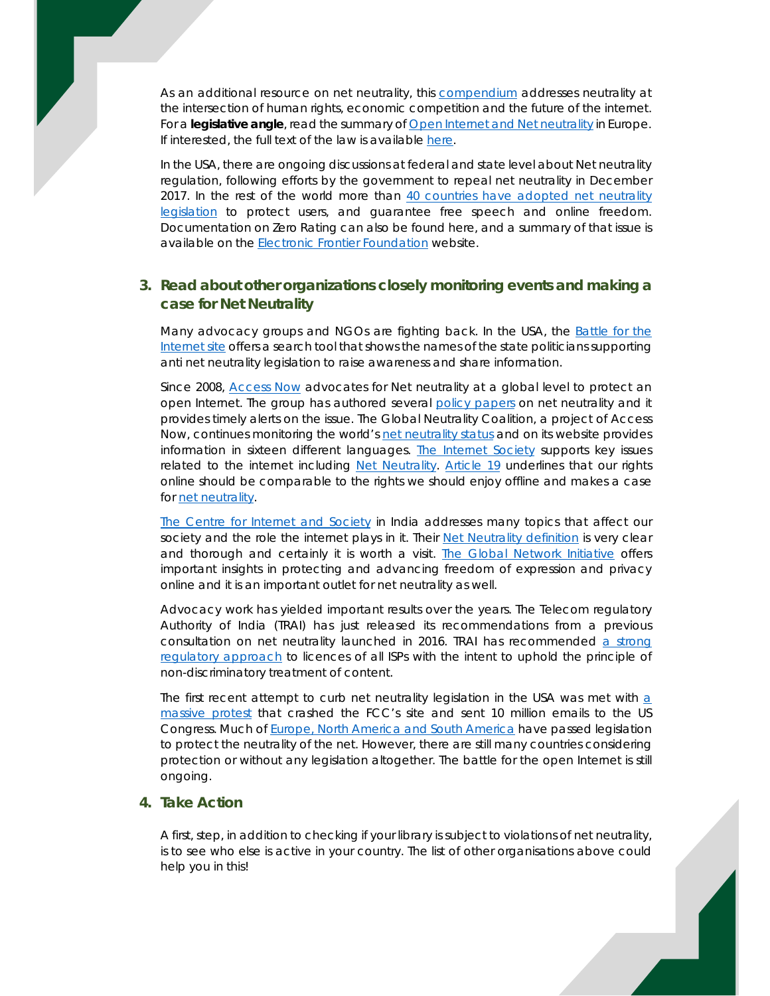As an additional resource on net neutrality, this compendium addresses neutrality at the intersection of human rights, economic competition and the future of the internet. For a **legislative angle**, read the summary of **Open Internet and Net neutrality** in Europe. If interested, the full text of the law is available here.

In the USA, there are ongoing discussions at federal and state level about Net neutrality regulation, following efforts by the government to repeal net neutrality in December 2017. In the rest of the world more than 40 countries have adopted net neutrality legislation to protect users, and guarantee free speech and online freedom. Documentation on Zero Rating can also be found here, and a summary of that issue is available on the Electronic Frontier Foundation website.

### **3. Read about other organizations closely monitoring events and making a case for Net Neutrality**

Many advocacy groups and NGOs are fighting back. In the USA, the Battle for the Internet site offers a search tool that shows the names of the state politicians supporting anti net neutrality legislation to raise awareness and share information.

Since 2008, Access Now advocates for Net neutrality at a global level to protect an open Internet. The group has authored several policy papers on net neutrality and it provides timely alerts on the issue. The Global Neutrality Coalition, a project of Access Now, continues monitoring the world's net neutrality status and on its website provides information in sixteen different languages. The Internet Society supports key issues related to the internet including Net Neutrality. Article 19 underlines that our rights online should be comparable to the rights we should enjoy offline and makes a case for net neutrality.

The Centre for Internet and Society in India addresses many topics that affect our society and the role the internet plays in it. Their Net Neutrality definition is very clear and thorough and certainly it is worth a visit. The Global Network Initiative offers important insights in protecting and advancing freedom of expression and privacy online and it is an important outlet for net neutrality as well.

Advocacy work has yielded important results over the years. The Telecom regulatory Authority of India (TRAI) has just released its recommendations from a previous consultation on net neutrality launched in 2016. TRAI has recommended a strong regulatory approach to licences of all ISPs with the intent to uphold the principle of non-discriminatory treatment of content.

The first recent attempt to curb net neutrality legislation in the USA was met with  $a$ massive protest that crashed the FCC's site and sent 10 million emails to the US Congress. Much of Europe, North America and South America have passed legislation to protect the neutrality of the net. However, there are still many countries considering protection or without any legislation altogether. The battle for the open Internet is still ongoing.

#### **4. Take Action**

A first, step, in addition to checking if your library is subject to violations of net neutrality, is to see who else is active in your country. The list of other organisations above could help you in this!